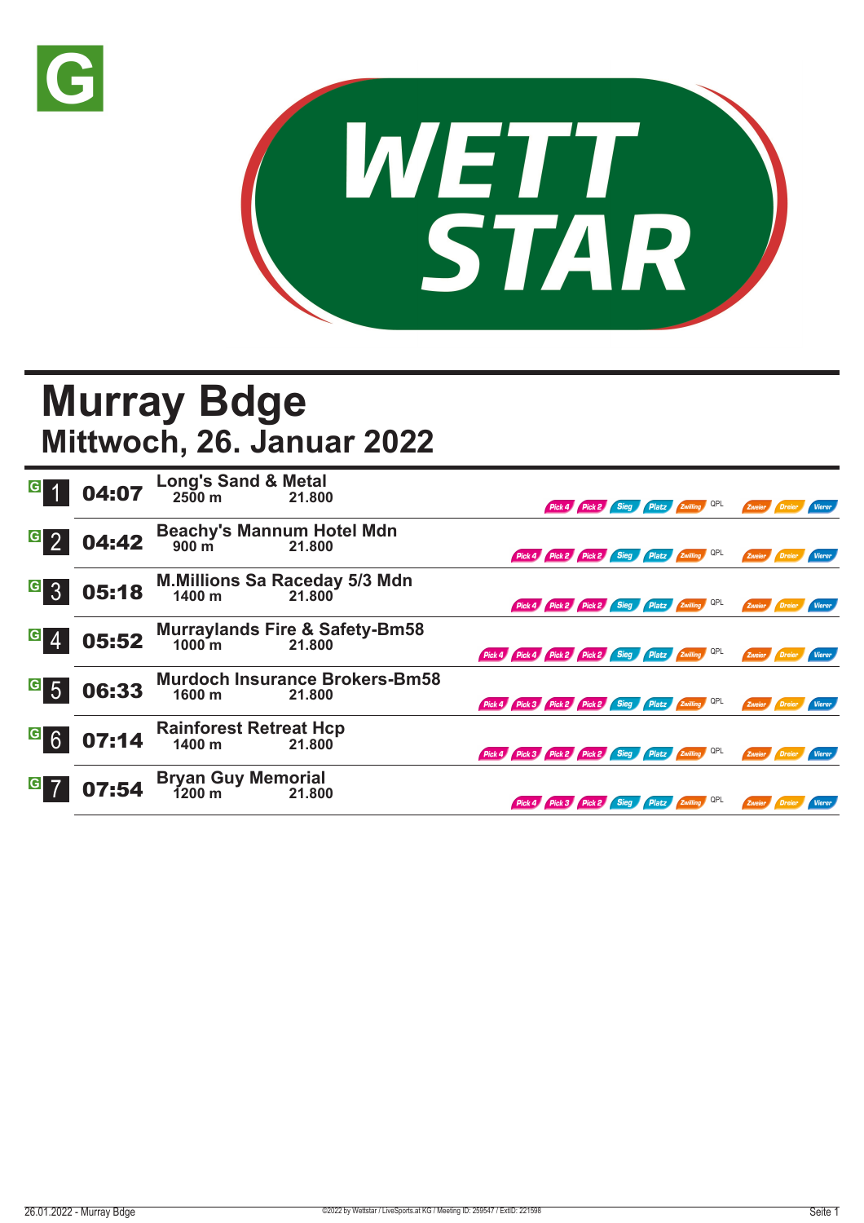



## **Murray Bdge Mittwoch, 26. Januar 2022**

| $\overline{G}$   | 04:07 | <b>Long's Sand &amp; Metal</b><br>2500 m 21.800<br>21.800          | Pick 4 Pick 2 Sieg Platz Zwilling QPL<br>Zweier<br>Vierer                         |
|------------------|-------|--------------------------------------------------------------------|-----------------------------------------------------------------------------------|
| $\overline{G}$ 2 | 04:42 | <b>Beachy's Mannum Hotel Mdn</b><br>$900 \text{ m}$<br>21.800      | Pick 4 Pick 2 Pick 2 Sieg Platz Zwilling QPL<br>Zweier<br>Dreier<br><b>Vierer</b> |
| <sup>G</sup> 3   | 05:18 | <b>M.Millions Sa Raceday 5/3 Mdn</b><br>$1400 \text{ m}$<br>21.800 | Pick 4 Pick 2 Pick 2 Sieg Platz Zwilling QPL<br>Zweier<br>Dreier<br>Vierer        |
| $G \mid 4$       | 05:52 | Murraylands Fire & Safety-Bm58<br>1000 m 21.800                    | Pick 4 Pick 4 Pick 2 Pick 2 Sieg Platz Zwilling OPL<br>Zweier                     |
| $\overline{G}$ 5 | 06:33 | <b>Murdoch Insurance Brokers-Bm58</b><br>1600 m<br>21.800          | Pick 4 Pick 3 Pick 2 Pick 2 Sieg Platz Zwilling QPL<br>Zweier                     |
| <sup>G</sup> 6   | 07:14 | <b>Rainforest Retreat Hcp</b><br>1400 m<br>21.800                  | Pick 4 Pick 3 Pick 2 Pick 2 Sieg Platz Zwilling QPL<br>Zweier<br>Vierer           |
| G 7              | 07:54 | Bryan Guy Memorial<br>1200 m 21.800<br>21.800                      | Pick 4 Pick 3 Pick 2 Sieg Platz Zwilling QPL<br>Zweier<br>Dreier<br>Vierer        |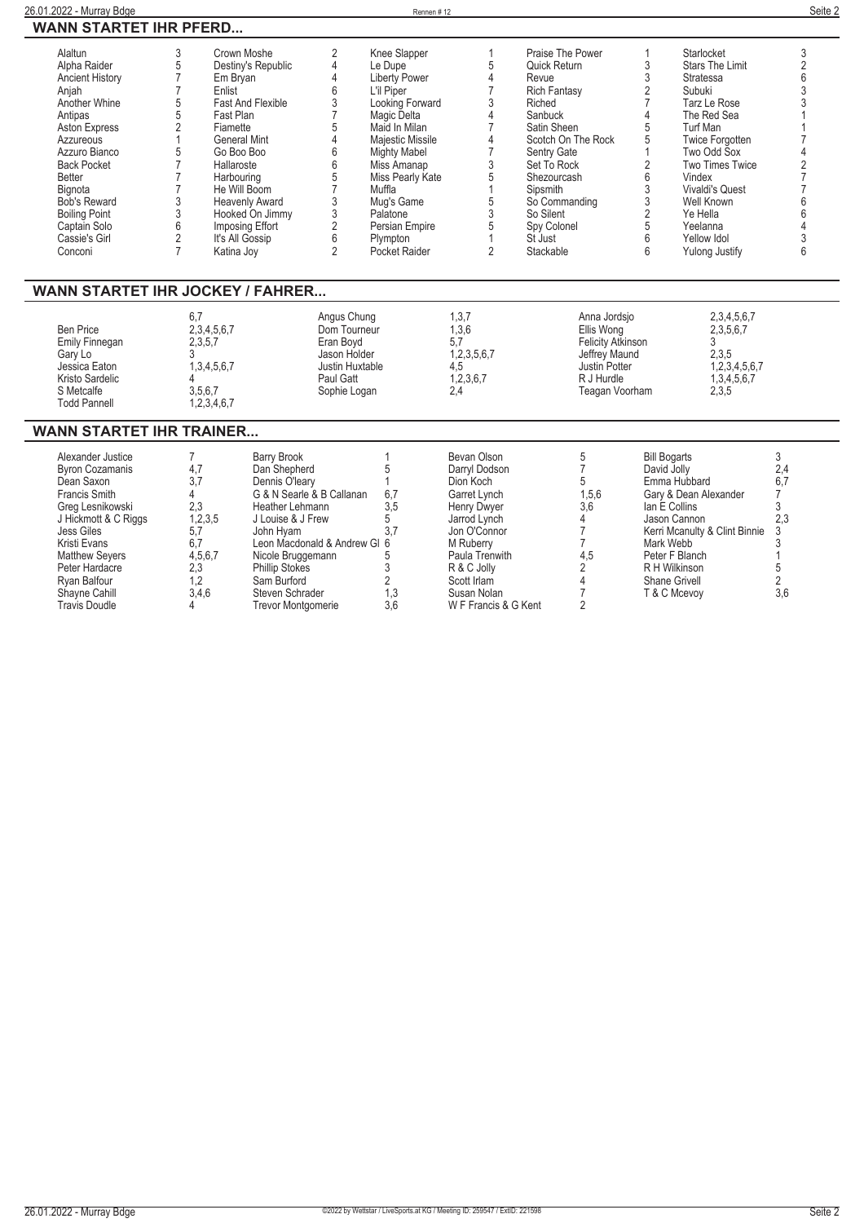| WANN STARTET IHR PFERD           |                |                          |                 |                     |                |                          |                |                        |     |
|----------------------------------|----------------|--------------------------|-----------------|---------------------|----------------|--------------------------|----------------|------------------------|-----|
| Alaltun                          | 3              | Crown Moshe              | 2               | Knee Slapper        |                | Praise The Power         |                | Starlocket             | 3   |
| Alpha Raider                     | 5              | Destiny's Republic       | 4               | Le Dupe             | 5              | Quick Return             | 3              | <b>Stars The Limit</b> | 2   |
| <b>Ancient History</b>           |                | Em Bryan                 |                 | Liberty Power       |                | Revue                    | 3              | Stratessa              | 6   |
| Anjah                            |                | Enlist                   | 6               | L'il Piper          |                | Rich Fantasy             | $\overline{2}$ | Subuki                 |     |
| Another Whine                    |                | <b>Fast And Flexible</b> | 3               | Looking Forward     | 3              | Riched                   |                | Tarz Le Rose           |     |
| Antipas                          | 5              | Fast Plan                |                 | Magic Delta         |                | Sanbuck                  |                | The Red Sea            |     |
| <b>Aston Express</b>             | 2              | Fiamette                 |                 | Maid In Milan       |                | Satin Sheen              | 5              | <b>Turf Man</b>        |     |
| Azzureous                        |                | <b>General Mint</b>      |                 | Majestic Missile    |                | Scotch On The Rock       | 5              | <b>Twice Forgotten</b> |     |
| Azzuro Bianco                    |                | Go Boo Boo               | 6               | <b>Mighty Mabel</b> |                | Sentry Gate              |                | Two Odd Sox            |     |
| <b>Back Pocket</b>               |                | Hallaroste               | 6               | Miss Amanap         | 3              | Set To Rock              | $\overline{2}$ | <b>Two Times Twice</b> |     |
| <b>Better</b>                    |                | Harbouring               |                 | Miss Pearly Kate    | 5              | Shezourcash              | 6              | Vindex                 |     |
| Bignota                          |                | He Will Boom             |                 | Muffla              |                | Sipsmith                 | 3              | <b>Vivaldi's Quest</b> |     |
| <b>Bob's Reward</b>              | 3              | <b>Heavenly Award</b>    |                 | Mug's Game          | 5              | So Commanding            | 3              | Well Known             |     |
| <b>Boiling Point</b>             | 3              | Hooked On Jimmy          | 3               | Palatone            | 3              | So Silent                | $\overline{2}$ | Ye Hella               |     |
| Captain Solo                     | 6              | Imposing Effort          | 2               | Persian Empire      | 5              | Spy Colonel              | 5              | Yeelanna               |     |
| Cassie's Girl                    | $\mathfrak{p}$ | It's All Gossip          | 6               | Plympton            |                | St Just                  | 6              | Yellow Idol            |     |
| Conconi                          | $\overline{7}$ | Katina Joy               | $\mathfrak{p}$  | Pocket Raider       | $\mathfrak{p}$ | Stackable                | 6              | <b>Yulong Justify</b>  | 6   |
| WANN STARTET IHR JOCKEY / FAHRER |                |                          |                 |                     |                |                          |                |                        |     |
|                                  | 6,7            |                          | Angus Chung     |                     | 1,3,7          | Anna Jordsjo             |                | 2,3,4,5,6,7            |     |
| <b>Ben Price</b>                 |                | 2,3,4,5,6,7              | Dom Tourneur    |                     | 1,3,6          | Ellis Wong               |                | 2,3,5,6,7              |     |
| <b>Emily Finnegan</b>            |                | 2,3,5,7                  | Eran Boyd       |                     | 5.7            | <b>Felicity Atkinson</b> |                | 3                      |     |
| Gary Lo                          |                |                          | Jason Holder    |                     | 1,2,3,5,6,7    | Jeffrey Maund            |                | 2,3,5                  |     |
| Jessica Eaton                    |                | 1, 3, 4, 5, 6, 7         | Justin Huxtable |                     | 4.5            | Justin Potter            |                | 1,2,3,4,5,6,7          |     |
| Kristo Sardelic                  |                |                          | Paul Gatt       |                     | 1,2,3,6,7      | R J Hurdle               |                | 1,3,4,5,6,7            |     |
| S Metcalfe                       |                | 3,5,6,7                  | Sophie Logan    |                     | 2,4            | Teagan Voorham           |                | 2,3,5                  |     |
| <b>Todd Pannell</b>              |                | 1,2,3,4,6,7              |                 |                     |                |                          |                |                        |     |
| WANN STARTET IHR TRAINER         |                |                          |                 |                     |                |                          |                |                        |     |
| Alexander Justice                | 7              | <b>Barry Brook</b>       |                 |                     | Bevan Olson    | 5                        |                | <b>Bill Bogarts</b>    | 3   |
| <b>Byron Cozamanis</b>           | 4,7            | Dan Shepherd             |                 |                     | Darryl Dodson  | $\overline{7}$           |                | David Jolly            | 2,4 |
| Dean Saxon                       | 3.7            | Dennis O'learv           |                 |                     | Dion Koch      | 5                        |                | Emma Hubbard           | 6,7 |
|                                  |                |                          |                 |                     |                |                          |                |                        |     |

| <b>BVron Cozamanis</b> |         | Dan Shebherd                 |     | Darryl Dodson        |       | David Jolly                     |     |
|------------------------|---------|------------------------------|-----|----------------------|-------|---------------------------------|-----|
| Dean Saxon             |         | Dennis O'leary               |     | Dion Koch            |       | Emma Hubbard                    |     |
| Francis Smith          |         | G & N Searle & B Callanan    | 6.7 | Garret Lynch         | 1,5,6 | Gary & Dean Alexander           |     |
| Greg Lesnikowski       | 2.3     | Heather Lehmann              | 3.5 | Henry Dwyer          | 3,6   | lan E Collins                   |     |
| J Hickmott & C Riggs   | 1,2,3,5 | J Louise & J Frew            |     | Jarrod Lynch         |       | Jason Cannon                    |     |
| Jess Giles             |         | John Hvam                    |     | Jon O'Connor         |       | Kerri Mcanulty & Clint Binnie 3 |     |
| Kristi Evans           |         | Leon Macdonald & Andrew GI 6 |     | M Ruberry            |       | Mark Webb                       |     |
| <b>Matthew Severs</b>  | 4,5,6,7 | Nicole Bruggemann            |     | Paula Trenwith       | 4.5   | Peter F Blanch                  |     |
| Peter Hardacre         | 2.3     | <b>Phillip Stokes</b>        |     | R & C Jolly          |       | R H Wilkinson                   |     |
| Rvan Balfour           |         | Sam Burford                  |     | Scott Irlam          |       | Shane Grivell                   |     |
| Shavne Cahill          | 3.4.6   | Steven Schrader              | 1.3 | Susan Nolan          |       | T & C Mcevov                    | 3.6 |
| <b>Travis Doudle</b>   |         | <b>Trevor Montgomerie</b>    | 3.6 | W F Francis & G Kent |       |                                 |     |
|                        |         |                              |     |                      |       |                                 |     |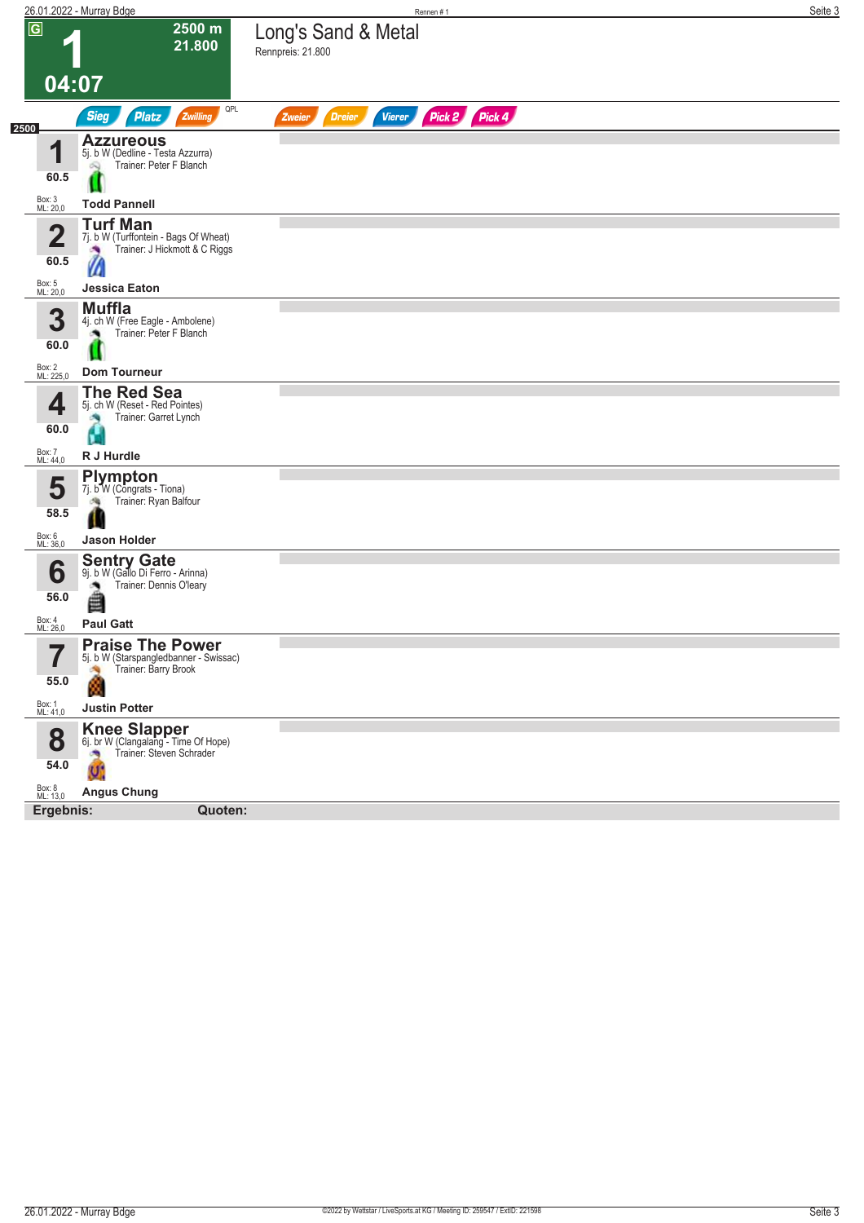|                                 | 26.01.2022 - Murray Bdge                                                                        | Rennen#1                                                  | Seite 3 |
|---------------------------------|-------------------------------------------------------------------------------------------------|-----------------------------------------------------------|---------|
| $\overline{G}$                  | 2500 m<br>21.800                                                                                | Long's Sand & Metal                                       |         |
|                                 |                                                                                                 | Rennpreis: 21.800                                         |         |
| 04:07                           |                                                                                                 |                                                           |         |
|                                 | QPL<br><b>Sieg</b><br><b>Platz</b><br>Zwilling                                                  | Pick 2 Pick 4<br><b>Dreier</b><br><b>Vierer</b><br>Zweier |         |
| 2500                            | <b>Azzureous</b>                                                                                |                                                           |         |
| 1<br>60.5                       | 5j. b W (Dedline - Testa Azzurra)<br>Trainer: Peter F Blanch                                    |                                                           |         |
| Box: 3<br>ML: 20,0              | <b>Todd Pannell</b>                                                                             |                                                           |         |
| $\overline{\mathbf{2}}$<br>60.5 | <b>Turf Man</b><br>7j. b W (Turffontein - Bags Of Wheat)<br>Trainer: J Hickmott & C Riggs       |                                                           |         |
| Box: 5<br>ML: 20,0              | W<br>Jessica Eaton                                                                              |                                                           |         |
|                                 | <b>Muffla</b>                                                                                   |                                                           |         |
| 3<br>60.0                       | 4j. ch W (Free Eagle - Ambolene)<br>Trainer: Peter F Blanch                                     |                                                           |         |
| Box: 2<br>ML: 225,0             | <b>Dom Tourneur</b>                                                                             |                                                           |         |
| 4<br>60.0                       | <b>The Red Sea</b><br>5j. ch W (Reset - Red Pointes)<br>Trainer: Garret Lynch                   |                                                           |         |
| Box: 7<br>ML: 44,0              | R J Hurdle                                                                                      |                                                           |         |
| 5                               | <b>Plympton</b><br>7j. b W (Congrats - Tiona)<br>Trainer: Ryan Balfour<br>确                     |                                                           |         |
| 58.5                            |                                                                                                 |                                                           |         |
| Box: 6<br>ML: 36,0              | <b>Jason Holder</b>                                                                             |                                                           |         |
| 6<br>56.0                       | <b>Sentry Gate</b><br>9j. b W (Gallo Di Ferro - Arinna)<br>Trainer: Dennis O'leary<br>曲         |                                                           |         |
| Box: 4<br>ML: 26,0              | <b>Paul Gatt</b>                                                                                |                                                           |         |
| $\overline{\phantom{a}}$<br>I   | <b>Praise The Power</b><br>bj. b W (Starspangledbanner - Swissac)<br>Trainer: Barry Brook<br>×, |                                                           |         |
| 55.0                            | 8                                                                                               |                                                           |         |
| Box: 1<br>ML: 41,0              | <b>Justin Potter</b>                                                                            |                                                           |         |
| 8<br>54.0                       | <b>Knee Slapper</b><br>6j. br W (Clangalang - Time Of Hope)<br>Trainer: Steven Schrader<br>on,  |                                                           |         |
|                                 | Ú.                                                                                              |                                                           |         |
| Box: 8<br>ML: 13,0<br>Ergebnis: | <b>Angus Chung</b><br>Quoten:                                                                   |                                                           |         |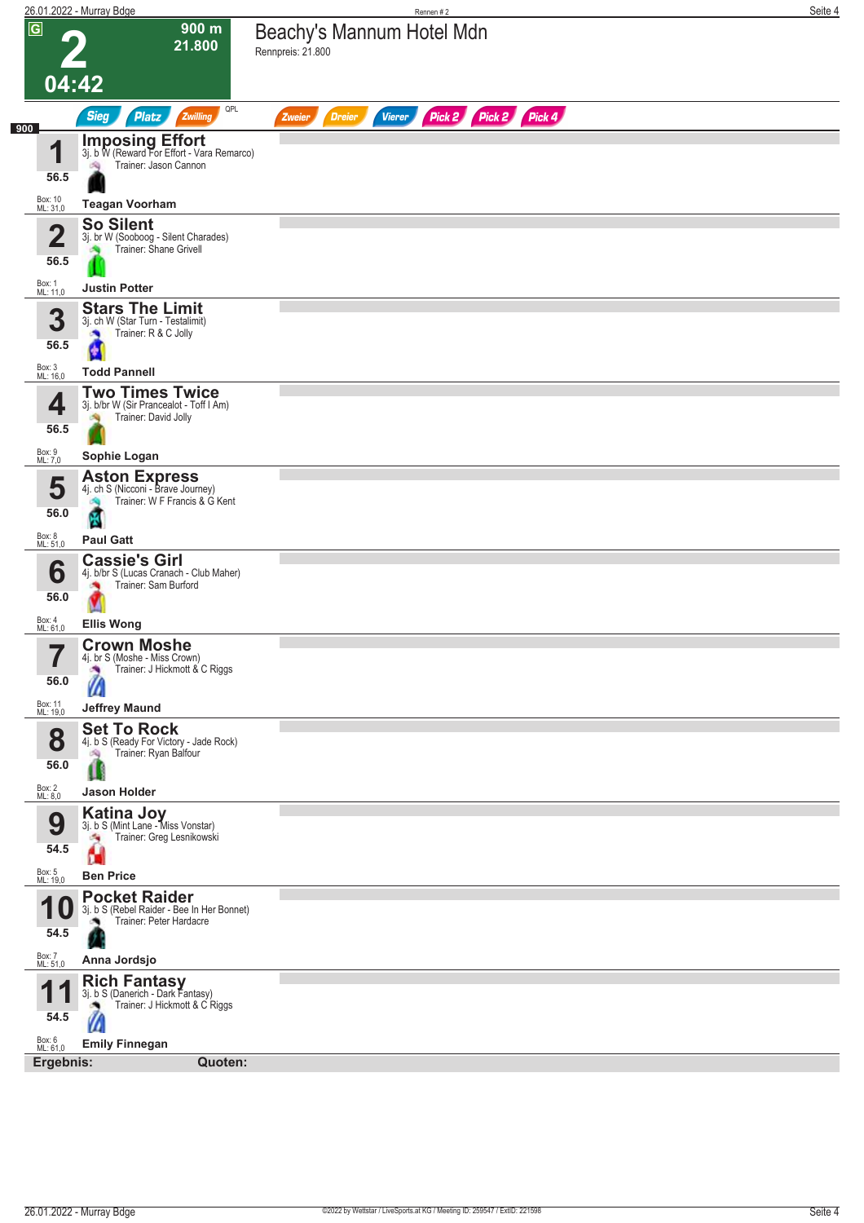|                     | 26.01.2022 - Murray Bdge                                                      | Rennen #2                                                 | Seite 4 |
|---------------------|-------------------------------------------------------------------------------|-----------------------------------------------------------|---------|
| $\overline{G}$      | $900 \text{ m}$                                                               | Beachy's Mannum Hotel Mdn                                 |         |
|                     | 21.800                                                                        | Rennpreis: 21.800                                         |         |
|                     |                                                                               |                                                           |         |
|                     | 04:42                                                                         |                                                           |         |
|                     | QPL<br><b>Sieg</b><br><b>Platz</b><br>Zwilling                                | Pick 2 Pick 4<br>Pick 2<br><b>Dreier</b><br><b>Vierer</b> |         |
| 900                 |                                                                               | Zweier                                                    |         |
| 1                   | <b>Imposing Effort</b><br>3j. b W (Reward For Effort - Vara Remarco)          |                                                           |         |
|                     | Trainer: Jason Cannon                                                         |                                                           |         |
| 56.5                |                                                                               |                                                           |         |
| Box: 10<br>ML: 31,0 | <b>Teagan Voorham</b>                                                         |                                                           |         |
| $\overline{2}$      | <b>So Silent</b>                                                              |                                                           |         |
|                     | 3j. br W (Sooboog - Silent Charades)<br>Trainer: Shane Grivell                |                                                           |         |
| 56.5                |                                                                               |                                                           |         |
| Box: 1<br>ML: 11,0  | <b>Justin Potter</b>                                                          |                                                           |         |
|                     | <b>Stars The Limit</b>                                                        |                                                           |         |
| 3                   | 3j. ch W (Star Turn - Testalimit)<br>Trainer: R & C Jolly<br><b>September</b> |                                                           |         |
| 56.5                |                                                                               |                                                           |         |
| Box: 3<br>ML: 16,0  | <b>Todd Pannell</b>                                                           |                                                           |         |
|                     | <b>Two Times Twice</b>                                                        |                                                           |         |
| 4                   | 3j. b/br W (Sir Prancealot - Toff I Am)                                       |                                                           |         |
| 56.5                | Trainer: David Jolly                                                          |                                                           |         |
|                     |                                                                               |                                                           |         |
| Box: 9<br>ML: 7,0   | Sophie Logan                                                                  |                                                           |         |
| 5                   | <b>Aston Express</b><br>4j. ch S (Nicconi - Brave Journey)                    |                                                           |         |
| 56.0                | Trainer: W F Francis & G Kent                                                 |                                                           |         |
| Box: 8              | 國                                                                             |                                                           |         |
| ML: 51,0            | <b>Paul Gatt</b>                                                              |                                                           |         |
| 6                   | <b>Cassie's Girl</b><br>4j. b/br S (Lucas Cranach - Club Maher)               |                                                           |         |
| 56.0                | Trainer: Sam Burford                                                          |                                                           |         |
|                     |                                                                               |                                                           |         |
| Box: 4<br>ML: 61,0  | <b>Ellis Wong</b>                                                             |                                                           |         |
| 7                   | <b>Crown Moshe</b><br>4]. Dr S (MOSNE - MISS Crown)                           |                                                           |         |
|                     | Trainer: J Hickmott & C Riggs<br>×                                            |                                                           |         |
| 56.0                | Ш                                                                             |                                                           |         |
| Box: 11<br>ML: 19,0 | <b>Jeffrey Maund</b>                                                          |                                                           |         |
| 8                   | <b>Set To Rock</b>                                                            |                                                           |         |
|                     | 4j. b S (Ready For Victory - Jade Rock)<br>Trainer: Ryan Balfour<br>鸿         |                                                           |         |
| 56.0                | Ш                                                                             |                                                           |         |
| Box: 2<br>ML: 8,0   | Jason Holder                                                                  |                                                           |         |
|                     | <b>Katina Joy</b>                                                             |                                                           |         |
| 9                   | 3j. b S (Mint Lane - Miss Vonstar)<br>Trainer: Greg Lesnikowski<br>÷,         |                                                           |         |
| 54.5                | Н                                                                             |                                                           |         |
| Box: 5<br>ML: 19,0  | <b>Ben Price</b>                                                              |                                                           |         |
|                     | <b>Pocket Raider</b>                                                          |                                                           |         |
|                     | 3j. b S (Rebel Raider - Bee In Her Bonnet)<br>Trainer: Peter Hardacre         |                                                           |         |
| 54.5                |                                                                               |                                                           |         |
| Box: 7<br>ML: 51,0  | Anna Jordsjo                                                                  |                                                           |         |
|                     |                                                                               |                                                           |         |
|                     | <b>Rich Fantasy</b><br>3j. b S (Danerich - Dark Fantasy)                      |                                                           |         |
| 54.5                | Trainer: J Hickmott & C Riggs<br>M                                            |                                                           |         |
| Box: 6<br>ML: 61,0  | <b>Emily Finnegan</b>                                                         |                                                           |         |
| Ergebnis:           | Quoten:                                                                       |                                                           |         |
|                     |                                                                               |                                                           |         |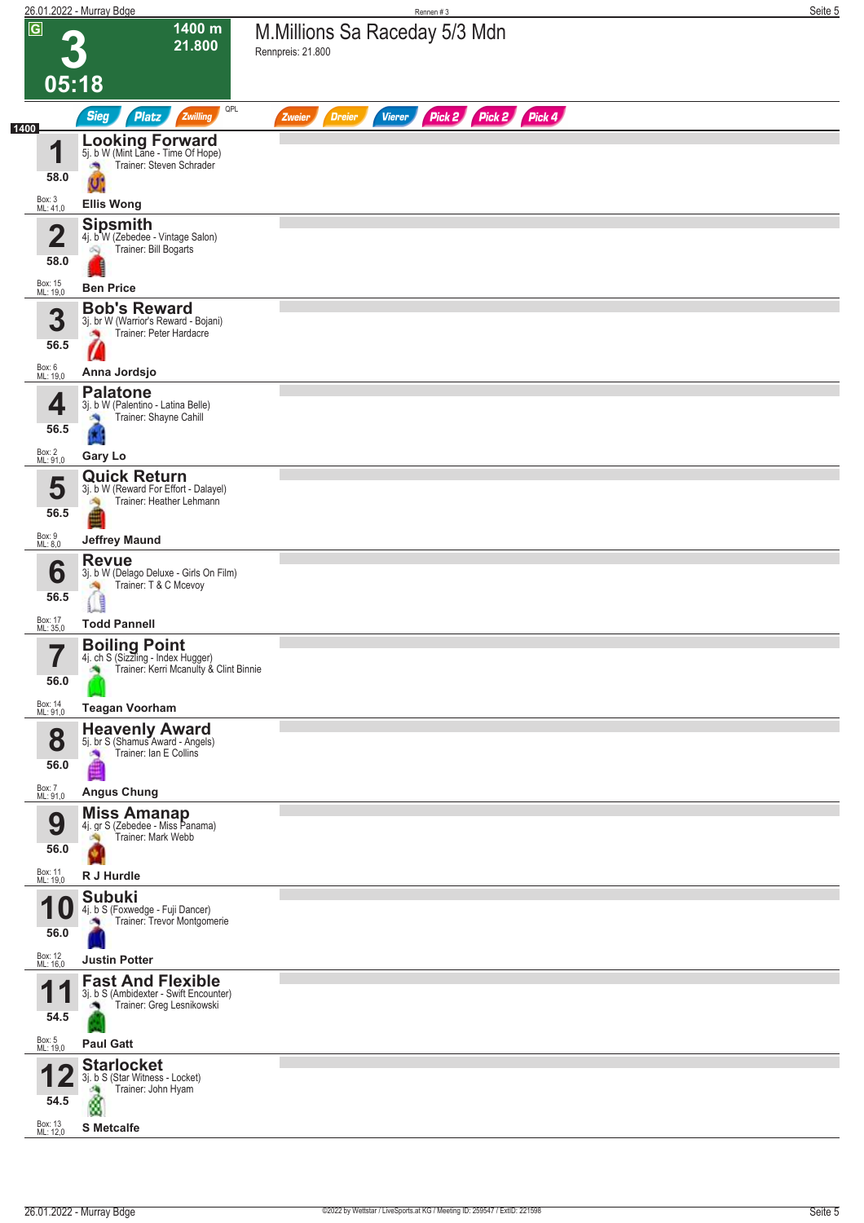|                                         | 26.01.2022 - Murray Bdge                                                                                  | Rennen #3                                                        | Seite 5 |
|-----------------------------------------|-----------------------------------------------------------------------------------------------------------|------------------------------------------------------------------|---------|
| $\overline{G}$                          | 1400 m<br>21.800                                                                                          | M.Millions Sa Raceday 5/3 Mdn<br>Rennpreis: 21.800               |         |
| 05:18                                   |                                                                                                           |                                                                  |         |
| 1400                                    | QPL<br><b>Sieg</b><br><b>Platz</b><br>Zwilling                                                            | Pick 2 Pick 2 Pick 4<br><b>Dreier</b><br><b>Vierer</b><br>Zweier |         |
| и<br>п<br>58.0                          | <b>Looking Forward</b><br>5j. b W (Mint Lane - Time Of Hope)<br>Trainer: Steven Schrader                  |                                                                  |         |
| Box: 3<br>ML: 41,0                      | <b>Ellis Wong</b><br><b>Sipsmith</b>                                                                      |                                                                  |         |
| $\overline{\mathbf{2}}$<br>58.0         | 4j. b W (Zebedee - Vintage Salon)<br>Trainer: Bill Bogarts<br>Q                                           |                                                                  |         |
| Box: 15<br>ML: 19,0                     | <b>Ben Price</b>                                                                                          |                                                                  |         |
| 3<br>56.5                               | <b>Bob's Reward</b><br>3j. br W (Warrior's Reward - Bojani)<br>Trainer: Peter Hardacre                    |                                                                  |         |
| Box: 6<br>ML: 19,0                      | Anna Jordsjo                                                                                              |                                                                  |         |
| 4<br>56.5                               | <b>Palatone</b><br>3j. b W (Palentino - Latina Belle)<br>Trainer: Shayne Cahill<br>6                      |                                                                  |         |
| Box: 2<br>ML: 91,0                      | Gary Lo                                                                                                   |                                                                  |         |
| 5<br>56.5                               | <b>Quick Return</b><br>3j. b W (Reward For Effort - Dalayel)<br>Trainer: Heather Lehmann<br>淘             |                                                                  |         |
| Box: 9<br>ML: 8,0                       | <b>Jeffrey Maund</b>                                                                                      |                                                                  |         |
| 6<br>56.5                               | <b>Revue</b><br>3j. b W (Delago Deluxe - Girls On Film)<br>Trainer: T & C Mcevoy<br>ŧ                     |                                                                  |         |
| Box: 17<br>ML: 35,0                     | <b>Todd Pannell</b>                                                                                       |                                                                  |         |
| 7<br>56.0                               | <b>Boiling Point</b><br>4j. ch S (Sizzling - Index Hugger)<br>Trainer: Kerri Mcanulty & Clint Binnie<br>× |                                                                  |         |
| Box: 14<br>ML: 91,0                     | <b>Teagan Voorham</b>                                                                                     |                                                                  |         |
| 8<br>56.0                               | <b>Heavenly Award</b><br>5j. br S (Shamus Award - Angels)<br>Trainer: Ian E Collins<br>∰                  |                                                                  |         |
| Box: 7<br>ML: 91,0                      | <b>Angus Chung</b><br><b>Miss Amanap</b>                                                                  |                                                                  |         |
| 9<br>56.0                               | 4j. gr S (Zebedee - Miss Panama)<br>Trainer: Mark Webb                                                    |                                                                  |         |
| Box: 11<br>ML: 19,0                     | R J Hurdle                                                                                                |                                                                  |         |
| и<br>1 U<br>56.0<br>Box: 12<br>ML: 16,0 | <b>Subuki</b><br>4j. b S (Foxwedge - Fuji Dancer)<br>Trainer: Trevor Montgomerie<br><b>Justin Potter</b>  |                                                                  |         |
| и<br>54.5                               | <b>Fast And Flexible</b><br>3j. b S (Ambidexter - Swift Encounter)<br>Trainer: Greg Lesnikowski           |                                                                  |         |
| Box: 5<br>ML: 19,0                      | <b>Paul Gatt</b><br><b>Starlocket</b>                                                                     |                                                                  |         |
| 54.5<br>Box: 13<br>ML: 12,0             | 3j. b S (Star Witness - Locket)<br>Trainer: John Hyam<br><b>S</b> Metcalfe                                |                                                                  |         |
|                                         |                                                                                                           |                                                                  |         |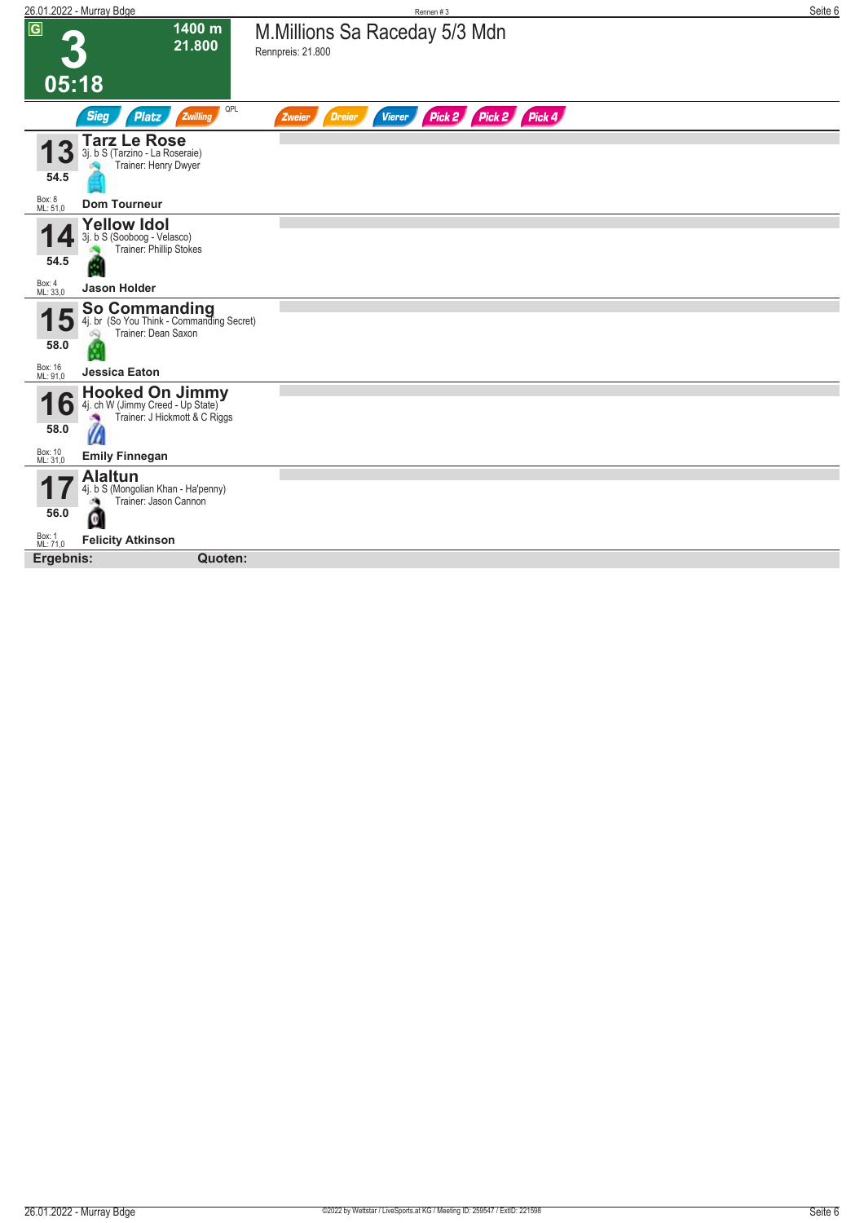| 26.01.2022 - Murray Bdge                                                                                                          | Rennen #3                                                        | Seite 6 |
|-----------------------------------------------------------------------------------------------------------------------------------|------------------------------------------------------------------|---------|
| $\overline{G}$<br>1400 m<br>21.800                                                                                                | M.Millions Sa Raceday 5/3 Mdn<br>Rennpreis: 21.800               |         |
| 05:18                                                                                                                             |                                                                  |         |
| QPL<br><b>Sieg</b><br><b>Platz</b><br>Zwilling                                                                                    | Pick 2 Pick 2 Pick 4<br><b>Vierer</b><br><b>Dreier</b><br>Zweier |         |
| <b>Tarz Le Rose</b><br>3j. b S (Tarzino - La Roseraie)<br>Trainer: Henry Dwyer<br>54.5                                            |                                                                  |         |
| Box: 8<br>ML: 51,0<br><b>Dom Tourneur</b>                                                                                         |                                                                  |         |
| <b>Yellow Idol</b><br>3j. b S (Sooboog - Velasco)<br>Trainer: Phillip Stokes                                                      |                                                                  |         |
| 54.5<br>Box: 4<br>ML: 33,0<br><b>Jason Holder</b>                                                                                 |                                                                  |         |
| <b>So Commanding</b><br>4j. br (So You Think - Commanding Secret)<br>$\overline{\mathbf{5}}$<br>Trainer: Dean Saxon<br>58.0<br>N. |                                                                  |         |
| Box: 16<br>ML: 91,0<br>Jessica Eaton                                                                                              |                                                                  |         |
| <b>Hooked On Jimmy</b><br>4j. ch W (Jimmy Creed - Up State)<br>Ö<br>Trainer: J Hickmott & C Riggs<br>Ù<br>58.0                    |                                                                  |         |
| Box: 10<br>ML: 31,0<br><b>Emily Finnegan</b>                                                                                      |                                                                  |         |
| <b>Alaltun</b><br>4j. b S (Mongolian Khan - Ha'penny)<br>Trainer: Jason Cannon                                                    |                                                                  |         |
| 56.0<br>G                                                                                                                         |                                                                  |         |
| Box: 1<br>ML: 71,0<br><b>Felicity Atkinson</b>                                                                                    |                                                                  |         |
| Ergebnis:<br>Quoten:                                                                                                              |                                                                  |         |
|                                                                                                                                   |                                                                  |         |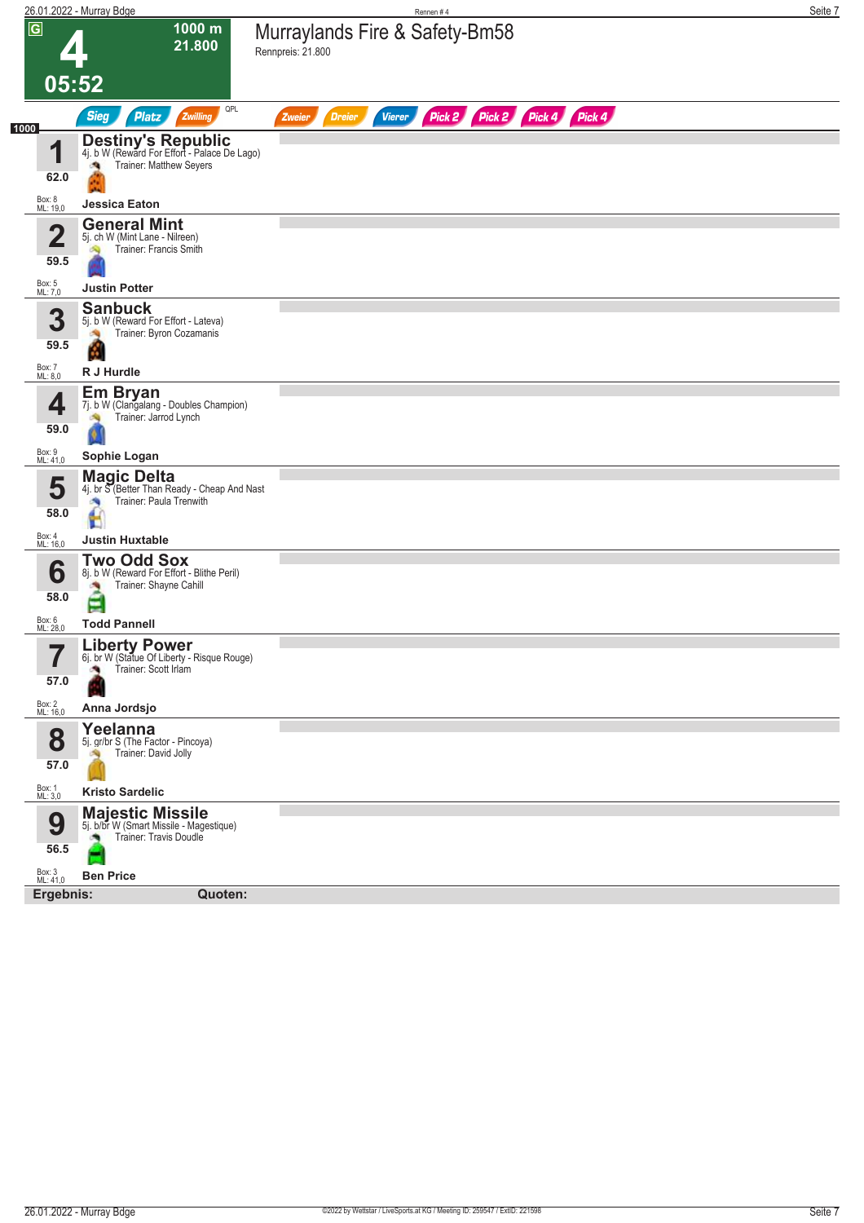| $\overline{G}$<br>1000 m<br>Murraylands Fire & Safety-Bm58<br>21.800<br>Rennpreis: 21.800<br>05:52<br>QPL<br>Pick 2 Pick 4 Pick 4<br><b>Sieg</b><br>Zwilling<br>Pick 2<br><b>Platz</b><br><b>Dreier</b><br><b>Vierer</b><br>Zweier<br>1000<br><b>Destiny's Republic</b><br>4j. b W (Reward For Effort - Palace De Lago)<br>1<br>Trainer: Matthew Seyers<br>$\mathcal{A}$<br>62.0<br>Box: 8<br>ML: 19,0<br><b>Jessica Eaton</b><br><b>General Mint</b><br>$\overline{\mathbf{2}}$<br>5j. ch W (Mint Lane - Nilreen)<br>Trainer: Francis Smith<br>59.5<br>Box: 5<br>ML: 7,0<br><b>Justin Potter</b><br><b>Sanbuck</b><br>3<br>5j. b W (Reward For Effort - Lateva)<br>Trainer: Byron Cozamanis<br>59.5<br>Box: 7<br>ML: 8,0<br>R J Hurdle<br><b>Em Bryan</b><br>7j. b W (Clangalang - Doubles Champion)<br>4<br>Trainer: Jarrod Lynch<br>59.0<br>Box: 9<br>ML: 41,0<br>Sophie Logan<br><b>Magic Delta</b><br>5<br>4j. br S (Better Than Ready - Cheap And Nast<br>Trainer: Paula Trenwith<br>÷. |  |
|-----------------------------------------------------------------------------------------------------------------------------------------------------------------------------------------------------------------------------------------------------------------------------------------------------------------------------------------------------------------------------------------------------------------------------------------------------------------------------------------------------------------------------------------------------------------------------------------------------------------------------------------------------------------------------------------------------------------------------------------------------------------------------------------------------------------------------------------------------------------------------------------------------------------------------------------------------------------------------------------------|--|
|                                                                                                                                                                                                                                                                                                                                                                                                                                                                                                                                                                                                                                                                                                                                                                                                                                                                                                                                                                                               |  |
|                                                                                                                                                                                                                                                                                                                                                                                                                                                                                                                                                                                                                                                                                                                                                                                                                                                                                                                                                                                               |  |
|                                                                                                                                                                                                                                                                                                                                                                                                                                                                                                                                                                                                                                                                                                                                                                                                                                                                                                                                                                                               |  |
|                                                                                                                                                                                                                                                                                                                                                                                                                                                                                                                                                                                                                                                                                                                                                                                                                                                                                                                                                                                               |  |
|                                                                                                                                                                                                                                                                                                                                                                                                                                                                                                                                                                                                                                                                                                                                                                                                                                                                                                                                                                                               |  |
|                                                                                                                                                                                                                                                                                                                                                                                                                                                                                                                                                                                                                                                                                                                                                                                                                                                                                                                                                                                               |  |
|                                                                                                                                                                                                                                                                                                                                                                                                                                                                                                                                                                                                                                                                                                                                                                                                                                                                                                                                                                                               |  |
|                                                                                                                                                                                                                                                                                                                                                                                                                                                                                                                                                                                                                                                                                                                                                                                                                                                                                                                                                                                               |  |
|                                                                                                                                                                                                                                                                                                                                                                                                                                                                                                                                                                                                                                                                                                                                                                                                                                                                                                                                                                                               |  |
|                                                                                                                                                                                                                                                                                                                                                                                                                                                                                                                                                                                                                                                                                                                                                                                                                                                                                                                                                                                               |  |
|                                                                                                                                                                                                                                                                                                                                                                                                                                                                                                                                                                                                                                                                                                                                                                                                                                                                                                                                                                                               |  |
|                                                                                                                                                                                                                                                                                                                                                                                                                                                                                                                                                                                                                                                                                                                                                                                                                                                                                                                                                                                               |  |
|                                                                                                                                                                                                                                                                                                                                                                                                                                                                                                                                                                                                                                                                                                                                                                                                                                                                                                                                                                                               |  |
|                                                                                                                                                                                                                                                                                                                                                                                                                                                                                                                                                                                                                                                                                                                                                                                                                                                                                                                                                                                               |  |
|                                                                                                                                                                                                                                                                                                                                                                                                                                                                                                                                                                                                                                                                                                                                                                                                                                                                                                                                                                                               |  |
|                                                                                                                                                                                                                                                                                                                                                                                                                                                                                                                                                                                                                                                                                                                                                                                                                                                                                                                                                                                               |  |
|                                                                                                                                                                                                                                                                                                                                                                                                                                                                                                                                                                                                                                                                                                                                                                                                                                                                                                                                                                                               |  |
|                                                                                                                                                                                                                                                                                                                                                                                                                                                                                                                                                                                                                                                                                                                                                                                                                                                                                                                                                                                               |  |
|                                                                                                                                                                                                                                                                                                                                                                                                                                                                                                                                                                                                                                                                                                                                                                                                                                                                                                                                                                                               |  |
| 58.0                                                                                                                                                                                                                                                                                                                                                                                                                                                                                                                                                                                                                                                                                                                                                                                                                                                                                                                                                                                          |  |
| Box: 4<br>ML: 16,0<br><b>Justin Huxtable</b>                                                                                                                                                                                                                                                                                                                                                                                                                                                                                                                                                                                                                                                                                                                                                                                                                                                                                                                                                  |  |
| <b>Two Odd Sox</b><br>6<br>8j. b W (Reward For Effort - Blithe Peril)                                                                                                                                                                                                                                                                                                                                                                                                                                                                                                                                                                                                                                                                                                                                                                                                                                                                                                                         |  |
| Trainer: Shayne Cahill                                                                                                                                                                                                                                                                                                                                                                                                                                                                                                                                                                                                                                                                                                                                                                                                                                                                                                                                                                        |  |
| 58.0<br>E                                                                                                                                                                                                                                                                                                                                                                                                                                                                                                                                                                                                                                                                                                                                                                                                                                                                                                                                                                                     |  |
| Box: 6<br>ML: 28,0<br><b>Todd Pannell</b><br><b>Liberty Power</b>                                                                                                                                                                                                                                                                                                                                                                                                                                                                                                                                                                                                                                                                                                                                                                                                                                                                                                                             |  |
| ۳,<br>6j. br W (Statue Of Liberty - Risque Rouge)<br>Trainer: Scott Irlam                                                                                                                                                                                                                                                                                                                                                                                                                                                                                                                                                                                                                                                                                                                                                                                                                                                                                                                     |  |
| 57.0                                                                                                                                                                                                                                                                                                                                                                                                                                                                                                                                                                                                                                                                                                                                                                                                                                                                                                                                                                                          |  |
| Box: 2<br>ML: 16,0<br>Anna Jordsjo                                                                                                                                                                                                                                                                                                                                                                                                                                                                                                                                                                                                                                                                                                                                                                                                                                                                                                                                                            |  |
| Yeelanna<br>8<br>5j. gr/br S (The Factor - Pincoya)                                                                                                                                                                                                                                                                                                                                                                                                                                                                                                                                                                                                                                                                                                                                                                                                                                                                                                                                           |  |
| Trainer: David Jolly<br>57.0                                                                                                                                                                                                                                                                                                                                                                                                                                                                                                                                                                                                                                                                                                                                                                                                                                                                                                                                                                  |  |
| Box: 1<br>ML: 3,0<br><b>Kristo Sardelic</b>                                                                                                                                                                                                                                                                                                                                                                                                                                                                                                                                                                                                                                                                                                                                                                                                                                                                                                                                                   |  |
| <b>Majestic Missile</b><br>9<br>5j. b/br W (Smart Missile - Magestique)                                                                                                                                                                                                                                                                                                                                                                                                                                                                                                                                                                                                                                                                                                                                                                                                                                                                                                                       |  |
| Trainer: Travis Doudle<br>56.5                                                                                                                                                                                                                                                                                                                                                                                                                                                                                                                                                                                                                                                                                                                                                                                                                                                                                                                                                                |  |
| أسرأ                                                                                                                                                                                                                                                                                                                                                                                                                                                                                                                                                                                                                                                                                                                                                                                                                                                                                                                                                                                          |  |
| Box: 3<br>ML: 41,0<br><b>Ben Price</b><br>Ergebnis:<br>Quoten:                                                                                                                                                                                                                                                                                                                                                                                                                                                                                                                                                                                                                                                                                                                                                                                                                                                                                                                                |  |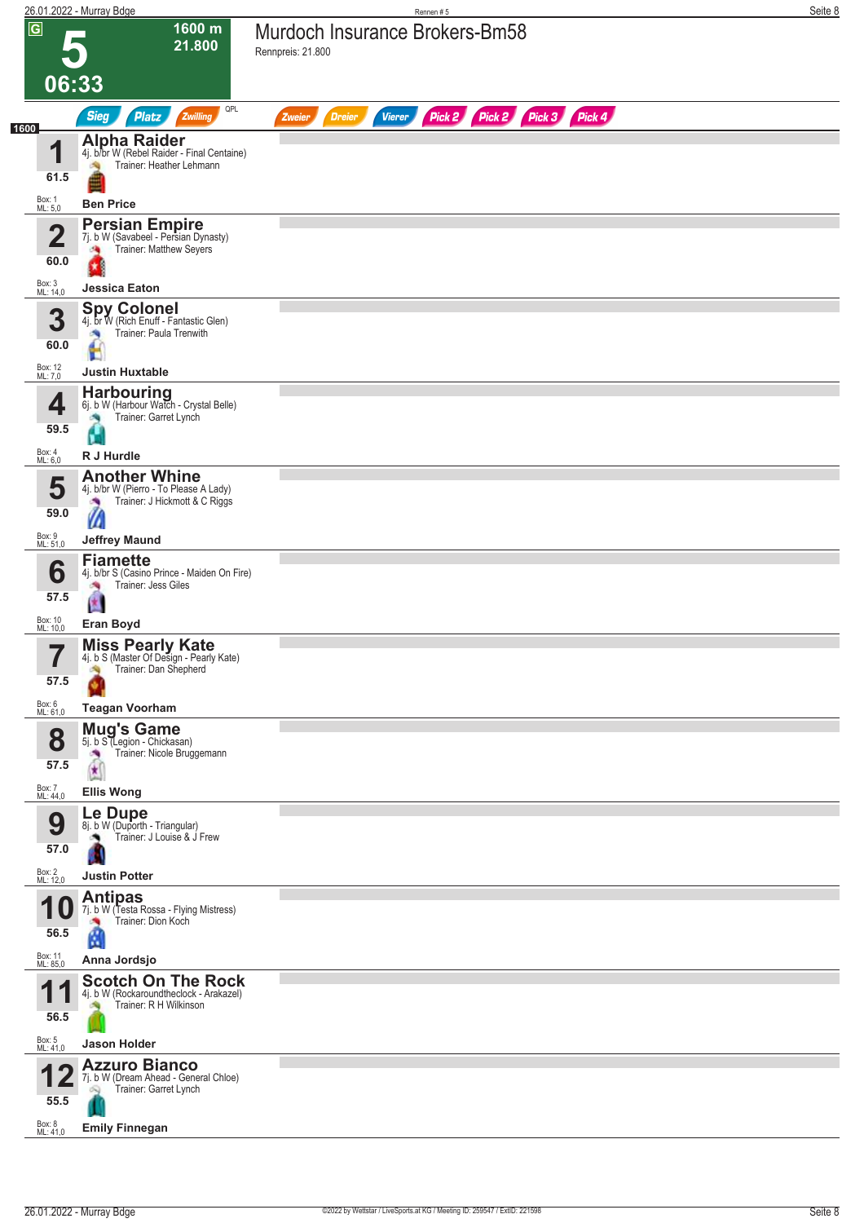|      |                                 | 26.01.2022 - Murray Bdge                                                                                              | Rennen#5                                                                | Seite 8 |
|------|---------------------------------|-----------------------------------------------------------------------------------------------------------------------|-------------------------------------------------------------------------|---------|
|      | $\overline{G}$                  | 1600 m<br>21.800                                                                                                      | Murdoch Insurance Brokers-Bm58<br>Rennpreis: 21.800                     |         |
|      | 06:33                           |                                                                                                                       |                                                                         |         |
|      |                                 | QPL<br><b>Sieg</b><br>Zwilling<br><b>Platz</b>                                                                        | Pick 2 Pick 2 Pick 3 Pick 4<br><b>Vierer</b><br><b>Dreier</b><br>Zweier |         |
| 1600 | и<br>61.5                       | <b>Alpha Raider</b><br>4j. b/br W (Rebel Raider - Final Centaine)<br>Trainer: Heather Lehmann                         |                                                                         |         |
|      | Box: 1<br>ML: 5,0               | <b>Ben Price</b>                                                                                                      |                                                                         |         |
|      | 2<br>60.0<br>Box: 3<br>ML: 14,0 | <b>Persian Empire</b><br>7j. b W (Savabeel - Persian Dynasty)<br>Trainer: Matthew Seyers<br>鸣<br><b>Jessica Eaton</b> |                                                                         |         |
|      | 3<br>60.0                       | <b>Spy Colonel</b><br>4j. br W (Rich Enuff - Fantastic Glen)<br>Trainer: Paula Trenwith                               |                                                                         |         |
|      | Box: 12<br>ML: 7,0              | <b>Justin Huxtable</b>                                                                                                |                                                                         |         |
|      | 4<br>59.5                       | <b>Harbouring</b><br>6j. b W (Harbour Watch - Crystal Belle)<br>Trainer: Garret Lynch<br>6                            |                                                                         |         |
|      | Box: 4<br>ML: 6,0               | R J Hurdle                                                                                                            |                                                                         |         |
|      | 5<br>59.0                       | <b>Another Whine</b><br>4j. b/br W (Pierro - To Please A Lady)<br>Trainer: J Hickmott & C Riggs<br>×<br>M             |                                                                         |         |
|      | Box: 9<br>ML: 51,0              | <b>Jeffrey Maund</b>                                                                                                  |                                                                         |         |
|      | 6<br>57.5                       | <b>Fiamette</b><br>4j. b/br S (Casino Prince - Maiden On Fire)<br>Trainer: Jess Giles<br>Y.                           |                                                                         |         |
|      | Box: 10<br>ML: 10,0             | <b>Eran Boyd</b>                                                                                                      |                                                                         |         |
|      | 7<br>$\blacksquare$<br>57.5     | <b>Miss Pearly Kate</b><br>4j. b S (Master Of Design - Pearly Kate)<br>Trainer: Dan Shepherd<br>×,                    |                                                                         |         |
|      | Box: 6<br>ML: 61,0              | <b>Teagan Voorham</b>                                                                                                 |                                                                         |         |
|      | 8<br>57.5<br>Box: 7<br>ML: 44,0 | <b>Mug's Game</b><br>5j. b S (Legion - Chickasan)<br>Trainer: Nicole Bruggemann<br>$\star$<br><b>Ellis Wong</b>       |                                                                         |         |
|      |                                 | Le Dupe                                                                                                               |                                                                         |         |
|      | 9<br>57.0<br>Box: 2<br>ML: 12,0 | 8j. b W (Duporth - Triangular)<br>Trainer: J Louise & J Frew<br><b>Justin Potter</b>                                  |                                                                         |         |
|      |                                 | <b>Antipas</b>                                                                                                        |                                                                         |         |
|      | 56.5<br>Box: 11<br>ML: 85,0     | 7j. b W (Testa Rossa - Flying Mistress)<br>Trainer: Dion Koch<br>ß<br>Anna Jordsjo                                    |                                                                         |         |
|      |                                 | <b>Scotch On The Rock</b>                                                                                             |                                                                         |         |
|      | и<br>56.5                       | 4j. b W (Rockaroundtheclock - Arakazel)<br>Trainer: R H Wilkinson                                                     |                                                                         |         |
|      | Box: 5<br>ML: 41,0              | <b>Jason Holder</b>                                                                                                   |                                                                         |         |
|      | 55.5<br>Box: 8<br>ML: 41,0      | <b>Azzuro Bianco</b><br>7j. b W (Dream Ahead - General Chloe)<br>Trainer: Garret Lynch<br>óQ<br><b>Emily Finnegan</b> |                                                                         |         |
|      |                                 |                                                                                                                       |                                                                         |         |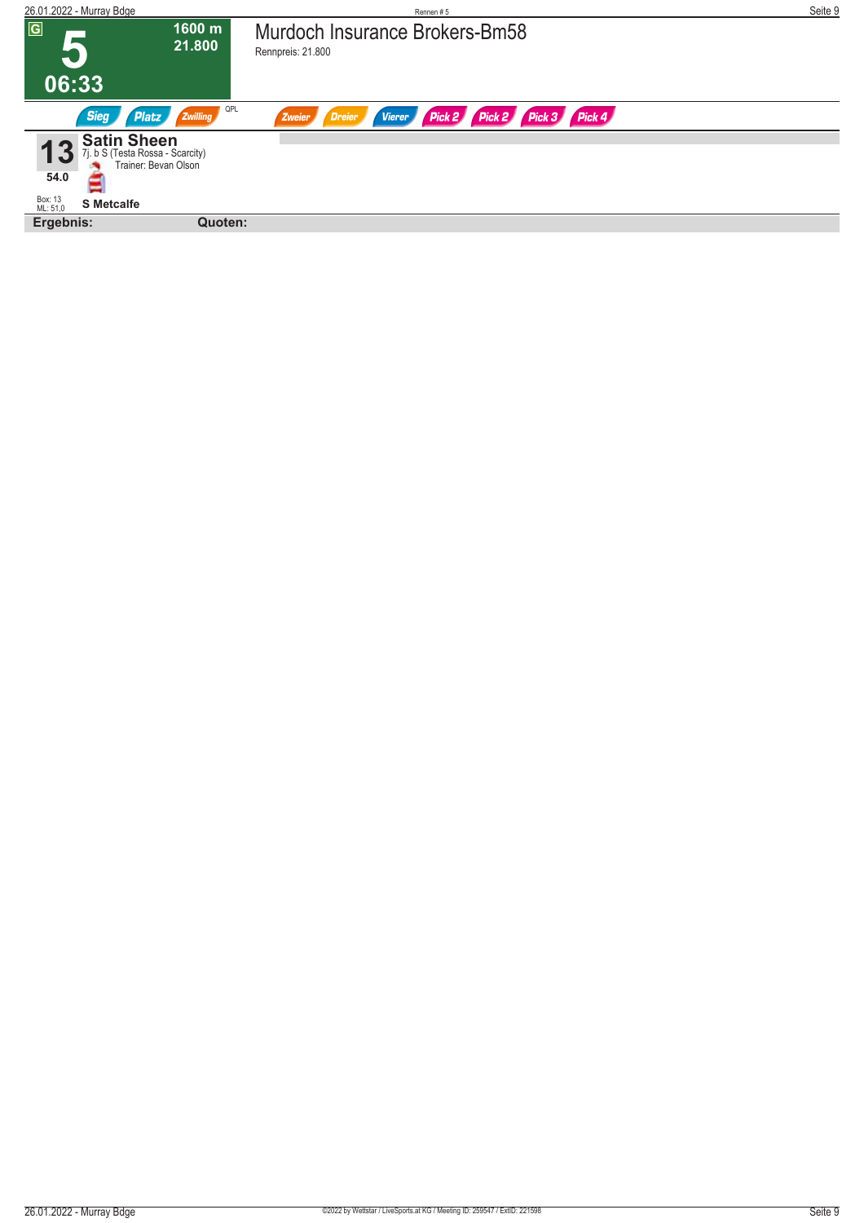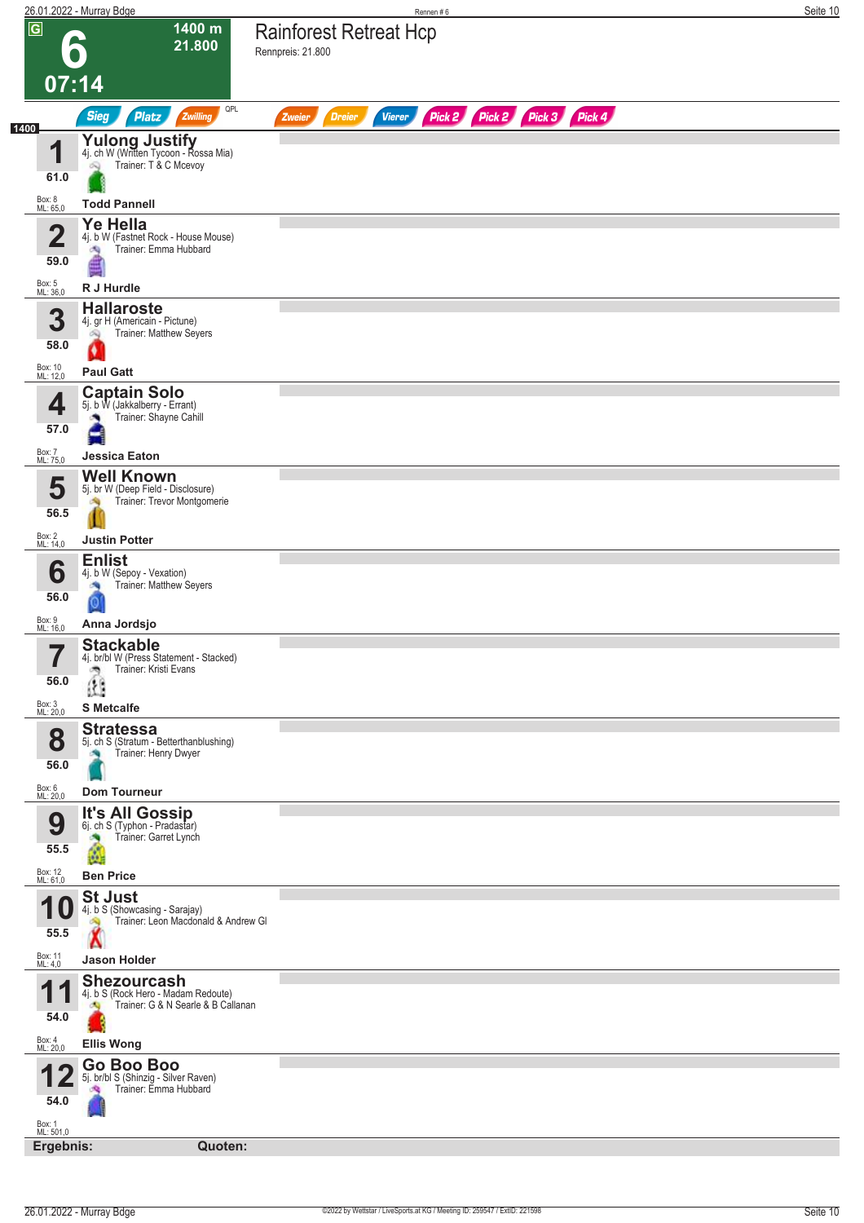| $\overline{G}$<br>1400 m<br><b>Rainforest Retreat Hcp</b><br>21.800<br>Rennpreis: 21.800<br>$\bullet$<br>07:14<br>QPL<br>Pick 2 Pick 2 Pick 3 Pick 4<br><b>Sieg</b><br><b>Platz</b><br>Zwilling<br><b>Dreier</b><br><b>Vierer</b><br>Zweier<br>1400<br>Yulong Justify<br>4j. ch W (Written Tycoon - Rossa Mia)<br>И<br>Trainer: T & C Mcevoy<br>Q<br>61.0<br>Box: 8<br>ML: 65,0<br><b>Todd Pannell</b><br><b>Ye Hella</b><br>$\overline{\mathbf{2}}$<br>4j. b W (Fastnet Rock - House Mouse)<br>Trainer: Emma Hubbard<br>淘<br>59.0<br>Box: 5<br>ML: 36,0<br>R J Hurdle<br><b>Hallaroste</b><br>3<br>4j. gr H (Americain - Pictune)<br>Trainer: Matthew Seyers<br>阀<br>58.0<br>Box: 10<br>ML: 12,0<br><b>Paul Gatt</b><br><b>Captain Solo</b><br>4<br>5j. b W (Jakkalberry - Errant)<br>Trainer: Shayne Cahill<br>57.0<br>Box: 7<br><b>Jessica Eaton</b><br>ML: 75,0<br><b>Well Known</b><br>5<br>5j. br W (Deep Field - Disclosure)<br>Trainer: Trevor Montgomerie<br>56.5<br>Box: 2<br>ML: 14,0<br><b>Justin Potter</b><br><b>Enlist</b><br>6<br>4j. b W (Sepoy - Vexation)<br>Trainer: Matthew Seyers<br>56.0<br>Box: 9<br>ML: 16,0<br>Anna Jordsjo<br><b>Stackable</b><br>7<br>4j. br/bl W (Press Statement - Stacked)<br>$\blacksquare$<br>Trainer: Kristi Evans<br>ాం<br>56.0<br>Box: 3<br>ML: 20,0<br><b>S</b> Metcalfe<br><b>Stratessa</b><br>8<br>5j. ch S (Stratum - Betterthanblushing)<br>Trainer: Henry Dwyer<br>56.0<br>Box: 6<br>ML: 20,0<br><b>Dom Tourneur</b><br><b>It's All Gossip</b><br>6j. ch S (Typhon - Pradastar)<br>9<br>Trainer: Garret Lynch<br>55.5<br>Box: 12<br>ML: 61,0<br><b>Ben Price</b><br><b>St Just</b><br>4j. b S (Showcasing - Sarajay)<br>Trainer: Leon Macdonald & Andrew GI<br>55.5<br>Box: 11<br>ML: 4,0<br><b>Jason Holder</b><br><b>Shezourcash</b><br>4<br>4j. b S (Rock Hero - Madam Redoute)<br>Trainer: G & N Searle & B Callanan<br>ക<br>54.0<br>Box: 4<br>ML: 20,0<br><b>Ellis Wong</b><br>Go Boo Boo<br>5j. br/bl S (Shinzig - Silver Raven)<br>Trainer: Emma Hubbard<br>54.0<br>Box: 1<br>ML: 501,0<br>Ergebnis:<br>Quoten: | <u> 26.01.2022 - Murray Bdge</u> | Rennen#6 | Seite 10 |
|----------------------------------------------------------------------------------------------------------------------------------------------------------------------------------------------------------------------------------------------------------------------------------------------------------------------------------------------------------------------------------------------------------------------------------------------------------------------------------------------------------------------------------------------------------------------------------------------------------------------------------------------------------------------------------------------------------------------------------------------------------------------------------------------------------------------------------------------------------------------------------------------------------------------------------------------------------------------------------------------------------------------------------------------------------------------------------------------------------------------------------------------------------------------------------------------------------------------------------------------------------------------------------------------------------------------------------------------------------------------------------------------------------------------------------------------------------------------------------------------------------------------------------------------------------------------------------------------------------------------------------------------------------------------------------------------------------------------------------------------------------------------------------------------------------------------------------------------------------------------------------------------------------------------------------------------------------------------------------------------------------------------------------------------------------------------------------|----------------------------------|----------|----------|
|                                                                                                                                                                                                                                                                                                                                                                                                                                                                                                                                                                                                                                                                                                                                                                                                                                                                                                                                                                                                                                                                                                                                                                                                                                                                                                                                                                                                                                                                                                                                                                                                                                                                                                                                                                                                                                                                                                                                                                                                                                                                                  |                                  |          |          |
|                                                                                                                                                                                                                                                                                                                                                                                                                                                                                                                                                                                                                                                                                                                                                                                                                                                                                                                                                                                                                                                                                                                                                                                                                                                                                                                                                                                                                                                                                                                                                                                                                                                                                                                                                                                                                                                                                                                                                                                                                                                                                  |                                  |          |          |
|                                                                                                                                                                                                                                                                                                                                                                                                                                                                                                                                                                                                                                                                                                                                                                                                                                                                                                                                                                                                                                                                                                                                                                                                                                                                                                                                                                                                                                                                                                                                                                                                                                                                                                                                                                                                                                                                                                                                                                                                                                                                                  |                                  |          |          |
|                                                                                                                                                                                                                                                                                                                                                                                                                                                                                                                                                                                                                                                                                                                                                                                                                                                                                                                                                                                                                                                                                                                                                                                                                                                                                                                                                                                                                                                                                                                                                                                                                                                                                                                                                                                                                                                                                                                                                                                                                                                                                  |                                  |          |          |
|                                                                                                                                                                                                                                                                                                                                                                                                                                                                                                                                                                                                                                                                                                                                                                                                                                                                                                                                                                                                                                                                                                                                                                                                                                                                                                                                                                                                                                                                                                                                                                                                                                                                                                                                                                                                                                                                                                                                                                                                                                                                                  |                                  |          |          |
|                                                                                                                                                                                                                                                                                                                                                                                                                                                                                                                                                                                                                                                                                                                                                                                                                                                                                                                                                                                                                                                                                                                                                                                                                                                                                                                                                                                                                                                                                                                                                                                                                                                                                                                                                                                                                                                                                                                                                                                                                                                                                  |                                  |          |          |
|                                                                                                                                                                                                                                                                                                                                                                                                                                                                                                                                                                                                                                                                                                                                                                                                                                                                                                                                                                                                                                                                                                                                                                                                                                                                                                                                                                                                                                                                                                                                                                                                                                                                                                                                                                                                                                                                                                                                                                                                                                                                                  |                                  |          |          |
|                                                                                                                                                                                                                                                                                                                                                                                                                                                                                                                                                                                                                                                                                                                                                                                                                                                                                                                                                                                                                                                                                                                                                                                                                                                                                                                                                                                                                                                                                                                                                                                                                                                                                                                                                                                                                                                                                                                                                                                                                                                                                  |                                  |          |          |
|                                                                                                                                                                                                                                                                                                                                                                                                                                                                                                                                                                                                                                                                                                                                                                                                                                                                                                                                                                                                                                                                                                                                                                                                                                                                                                                                                                                                                                                                                                                                                                                                                                                                                                                                                                                                                                                                                                                                                                                                                                                                                  |                                  |          |          |
|                                                                                                                                                                                                                                                                                                                                                                                                                                                                                                                                                                                                                                                                                                                                                                                                                                                                                                                                                                                                                                                                                                                                                                                                                                                                                                                                                                                                                                                                                                                                                                                                                                                                                                                                                                                                                                                                                                                                                                                                                                                                                  |                                  |          |          |
|                                                                                                                                                                                                                                                                                                                                                                                                                                                                                                                                                                                                                                                                                                                                                                                                                                                                                                                                                                                                                                                                                                                                                                                                                                                                                                                                                                                                                                                                                                                                                                                                                                                                                                                                                                                                                                                                                                                                                                                                                                                                                  |                                  |          |          |
|                                                                                                                                                                                                                                                                                                                                                                                                                                                                                                                                                                                                                                                                                                                                                                                                                                                                                                                                                                                                                                                                                                                                                                                                                                                                                                                                                                                                                                                                                                                                                                                                                                                                                                                                                                                                                                                                                                                                                                                                                                                                                  |                                  |          |          |
|                                                                                                                                                                                                                                                                                                                                                                                                                                                                                                                                                                                                                                                                                                                                                                                                                                                                                                                                                                                                                                                                                                                                                                                                                                                                                                                                                                                                                                                                                                                                                                                                                                                                                                                                                                                                                                                                                                                                                                                                                                                                                  |                                  |          |          |
|                                                                                                                                                                                                                                                                                                                                                                                                                                                                                                                                                                                                                                                                                                                                                                                                                                                                                                                                                                                                                                                                                                                                                                                                                                                                                                                                                                                                                                                                                                                                                                                                                                                                                                                                                                                                                                                                                                                                                                                                                                                                                  |                                  |          |          |
|                                                                                                                                                                                                                                                                                                                                                                                                                                                                                                                                                                                                                                                                                                                                                                                                                                                                                                                                                                                                                                                                                                                                                                                                                                                                                                                                                                                                                                                                                                                                                                                                                                                                                                                                                                                                                                                                                                                                                                                                                                                                                  |                                  |          |          |
|                                                                                                                                                                                                                                                                                                                                                                                                                                                                                                                                                                                                                                                                                                                                                                                                                                                                                                                                                                                                                                                                                                                                                                                                                                                                                                                                                                                                                                                                                                                                                                                                                                                                                                                                                                                                                                                                                                                                                                                                                                                                                  |                                  |          |          |
|                                                                                                                                                                                                                                                                                                                                                                                                                                                                                                                                                                                                                                                                                                                                                                                                                                                                                                                                                                                                                                                                                                                                                                                                                                                                                                                                                                                                                                                                                                                                                                                                                                                                                                                                                                                                                                                                                                                                                                                                                                                                                  |                                  |          |          |
|                                                                                                                                                                                                                                                                                                                                                                                                                                                                                                                                                                                                                                                                                                                                                                                                                                                                                                                                                                                                                                                                                                                                                                                                                                                                                                                                                                                                                                                                                                                                                                                                                                                                                                                                                                                                                                                                                                                                                                                                                                                                                  |                                  |          |          |
|                                                                                                                                                                                                                                                                                                                                                                                                                                                                                                                                                                                                                                                                                                                                                                                                                                                                                                                                                                                                                                                                                                                                                                                                                                                                                                                                                                                                                                                                                                                                                                                                                                                                                                                                                                                                                                                                                                                                                                                                                                                                                  |                                  |          |          |
|                                                                                                                                                                                                                                                                                                                                                                                                                                                                                                                                                                                                                                                                                                                                                                                                                                                                                                                                                                                                                                                                                                                                                                                                                                                                                                                                                                                                                                                                                                                                                                                                                                                                                                                                                                                                                                                                                                                                                                                                                                                                                  |                                  |          |          |
|                                                                                                                                                                                                                                                                                                                                                                                                                                                                                                                                                                                                                                                                                                                                                                                                                                                                                                                                                                                                                                                                                                                                                                                                                                                                                                                                                                                                                                                                                                                                                                                                                                                                                                                                                                                                                                                                                                                                                                                                                                                                                  |                                  |          |          |
|                                                                                                                                                                                                                                                                                                                                                                                                                                                                                                                                                                                                                                                                                                                                                                                                                                                                                                                                                                                                                                                                                                                                                                                                                                                                                                                                                                                                                                                                                                                                                                                                                                                                                                                                                                                                                                                                                                                                                                                                                                                                                  |                                  |          |          |
|                                                                                                                                                                                                                                                                                                                                                                                                                                                                                                                                                                                                                                                                                                                                                                                                                                                                                                                                                                                                                                                                                                                                                                                                                                                                                                                                                                                                                                                                                                                                                                                                                                                                                                                                                                                                                                                                                                                                                                                                                                                                                  |                                  |          |          |
|                                                                                                                                                                                                                                                                                                                                                                                                                                                                                                                                                                                                                                                                                                                                                                                                                                                                                                                                                                                                                                                                                                                                                                                                                                                                                                                                                                                                                                                                                                                                                                                                                                                                                                                                                                                                                                                                                                                                                                                                                                                                                  |                                  |          |          |
|                                                                                                                                                                                                                                                                                                                                                                                                                                                                                                                                                                                                                                                                                                                                                                                                                                                                                                                                                                                                                                                                                                                                                                                                                                                                                                                                                                                                                                                                                                                                                                                                                                                                                                                                                                                                                                                                                                                                                                                                                                                                                  |                                  |          |          |
|                                                                                                                                                                                                                                                                                                                                                                                                                                                                                                                                                                                                                                                                                                                                                                                                                                                                                                                                                                                                                                                                                                                                                                                                                                                                                                                                                                                                                                                                                                                                                                                                                                                                                                                                                                                                                                                                                                                                                                                                                                                                                  |                                  |          |          |
|                                                                                                                                                                                                                                                                                                                                                                                                                                                                                                                                                                                                                                                                                                                                                                                                                                                                                                                                                                                                                                                                                                                                                                                                                                                                                                                                                                                                                                                                                                                                                                                                                                                                                                                                                                                                                                                                                                                                                                                                                                                                                  |                                  |          |          |
|                                                                                                                                                                                                                                                                                                                                                                                                                                                                                                                                                                                                                                                                                                                                                                                                                                                                                                                                                                                                                                                                                                                                                                                                                                                                                                                                                                                                                                                                                                                                                                                                                                                                                                                                                                                                                                                                                                                                                                                                                                                                                  |                                  |          |          |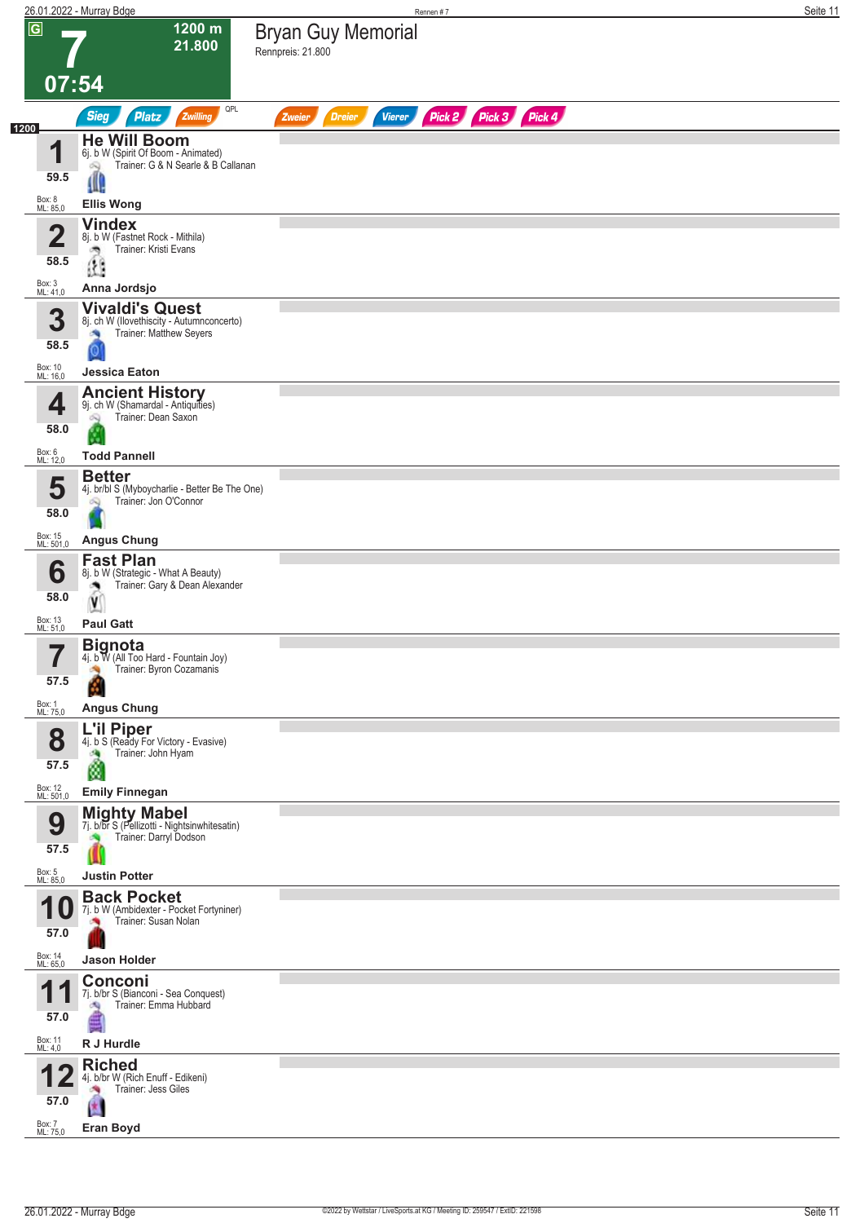|      |                            | 26.01.2022 - Murray Bdge                                                                       | Rennen #7                                                        | Seite 11 |
|------|----------------------------|------------------------------------------------------------------------------------------------|------------------------------------------------------------------|----------|
|      | $\overline{G}$             | 1200 m<br>21.800                                                                               | <b>Bryan Guy Memorial</b><br>Rennpreis: 21.800                   |          |
|      |                            | 07:54                                                                                          |                                                                  |          |
| 1200 |                            | QPL<br><b>Sieg</b><br>Platz<br>Zwilling                                                        | Pick 2 Pick 3 Pick 4<br><b>Dreier</b><br><b>Vierer</b><br>Zweier |          |
|      | и                          | <b>He Will Boom</b><br>6j. b W (Spirit Of Boom - Animated)                                     |                                                                  |          |
|      | 59.5                       | Trainer: G & N Searle & B Callanan<br>óQ<br>Щ.                                                 |                                                                  |          |
|      | Box: 8<br>ML: 85,0         | <b>Ellis Wong</b>                                                                              |                                                                  |          |
|      | 2<br>◢                     | <b>Vindex</b><br>8j. b W (Fastnet Rock - Mithila)                                              |                                                                  |          |
|      | 58.5                       | Trainer: Kristi Evans<br>ತ್ರಾ<br>Œ                                                             |                                                                  |          |
|      | Box: 3<br>ML: 41,0         | Anna Jordsjo                                                                                   |                                                                  |          |
|      | 3<br>58.5                  | <b>Vivaldi's Quest</b><br>8j. ch W (Ilovethiscity - Autumnconcerto)<br>Trainer: Matthew Seyers |                                                                  |          |
|      | Box: 10<br>ML: 16,0        | <b>Jessica Eaton</b>                                                                           |                                                                  |          |
|      | 4                          | <b>Ancient History</b><br>9j. ch W (Shamardal - Antiquities)<br>Trainer: Dean Saxon<br>Q       |                                                                  |          |
|      | 58.0                       |                                                                                                |                                                                  |          |
|      | Box: 6<br>ML: 12,0         | <b>Todd Pannell</b><br><b>Better</b>                                                           |                                                                  |          |
|      | 5<br>58.0                  | 4j. br/bl S (Myboycharlie - Better Be The One)<br>Trainer: Jon O'Connor                        |                                                                  |          |
|      | Box: 15<br>ML: 501,0       | <b>Angus Chung</b>                                                                             |                                                                  |          |
|      | 6                          | <b>Fast Plan</b><br>8j. b W (Strategic - What A Beauty)<br>Trainer: Gary & Dean Alexander      |                                                                  |          |
|      | 58.0                       | V                                                                                              |                                                                  |          |
|      | Box: 13<br>ML: 51,0        | <b>Paul Gatt</b>                                                                               |                                                                  |          |
|      | 7<br>,<br>57.5             | Bignota<br>4j. b W (All Too Hard - Fountain Joy)<br>Trainer: Byron Cozamanis                   |                                                                  |          |
|      | Box: 1<br>ML: 75,0         | <b>Angus Chung</b>                                                                             |                                                                  |          |
|      |                            | <b>L'il Piper</b>                                                                              |                                                                  |          |
|      | 8<br>57.5                  | 4j. b S (Ready For Victory - Evasive)<br>Trainer: John Hyam<br>ø                               |                                                                  |          |
|      | Box: 12<br>ML: 501,0       | <b>Emily Finnegan</b>                                                                          |                                                                  |          |
|      | 9                          | <b>Mighty Mabel</b><br>7j. b/br S (Pellizotti - Nightsinwhitesatin)                            |                                                                  |          |
|      | 57.5                       | Trainer: Darryl Dodson                                                                         |                                                                  |          |
|      | Box: 5<br>ML: 85,0         | <b>Justin Potter</b>                                                                           |                                                                  |          |
|      | U                          | <b>Back Pocket</b><br>7j. b W (Ambidexter - Pocket Fortyniner)<br>Trainer: Susan Nolan         |                                                                  |          |
|      | 57.0                       |                                                                                                |                                                                  |          |
|      | Box: 14<br>ML: 65,0        | <b>Jason Holder</b><br>Conconi                                                                 |                                                                  |          |
|      | и<br>57.0                  | 7j. b/br S (Bianconi - Sea Conquest)<br>Trainer: Emma Hubbard<br>肉                             |                                                                  |          |
|      | Box: 11<br>ML: 4,0         | R J Hurdle                                                                                     |                                                                  |          |
|      |                            | <b>Riched</b><br>4j. b/br W (Rich Enuff - Edikeni)<br>Trainer: Jess Giles                      |                                                                  |          |
|      | 57.0<br>Box: 7<br>ML: 75,0 | Eran Boyd                                                                                      |                                                                  |          |
|      |                            |                                                                                                |                                                                  |          |